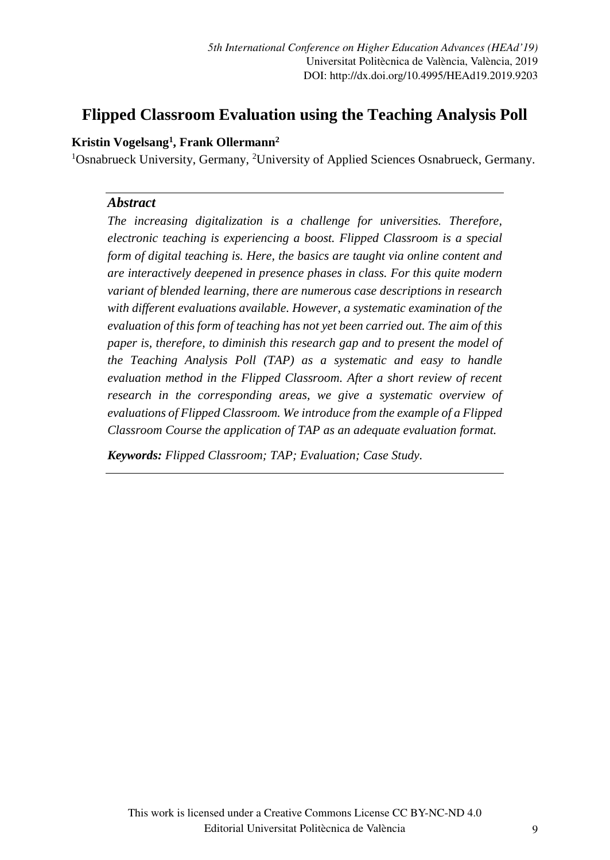# **Flipped Classroom Evaluation using the Teaching Analysis Poll**

## **Kristin Vogelsang1 , Frank Ollermann2**

<sup>1</sup>Osnabrueck University, Germany, <sup>2</sup>University of Applied Sciences Osnabrueck, Germany.

### *Abstract*

*The increasing digitalization is a challenge for universities. Therefore, electronic teaching is experiencing a boost. Flipped Classroom is a special form of digital teaching is. Here, the basics are taught via online content and are interactively deepened in presence phases in class. For this quite modern variant of blended learning, there are numerous case descriptions in research with different evaluations available. However, a systematic examination of the evaluation of this form of teaching has not yet been carried out. The aim of this paper is, therefore, to diminish this research gap and to present the model of the Teaching Analysis Poll (TAP) as a systematic and easy to handle evaluation method in the Flipped Classroom. After a short review of recent research in the corresponding areas, we give a systematic overview of evaluations of Flipped Classroom. We introduce from the example of a Flipped Classroom Course the application of TAP as an adequate evaluation format.* 

*Keywords: Flipped Classroom; TAP; Evaluation; Case Study.*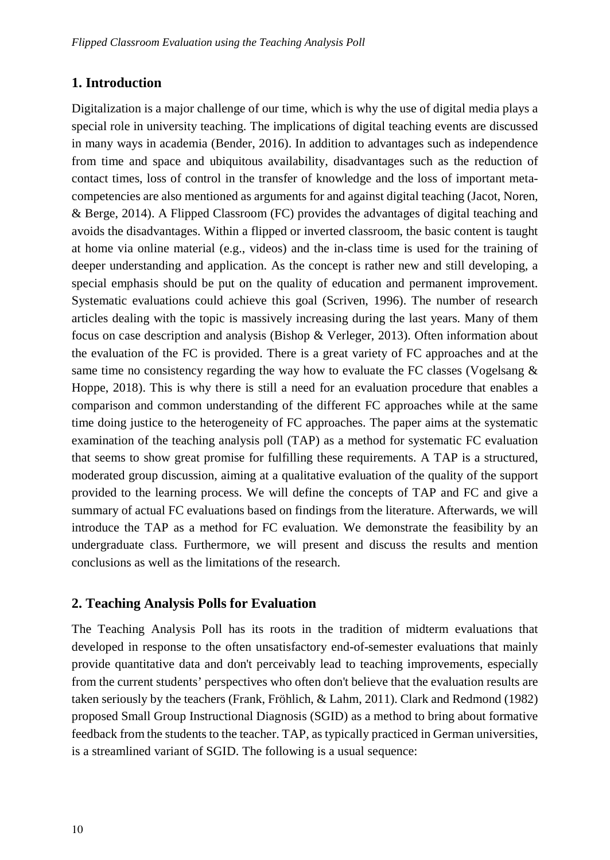### **1. Introduction**

Digitalization is a major challenge of our time, which is why the use of digital media plays a special role in university teaching. The implications of digital teaching events are discussed in many ways in academia (Bender, 2016). In addition to advantages such as independence from time and space and ubiquitous availability, disadvantages such as the reduction of contact times, loss of control in the transfer of knowledge and the loss of important metacompetencies are also mentioned as arguments for and against digital teaching (Jacot, Noren, & Berge, 2014). A Flipped Classroom (FC) provides the advantages of digital teaching and avoids the disadvantages. Within a flipped or inverted classroom, the basic content is taught at home via online material (e.g., videos) and the in-class time is used for the training of deeper understanding and application. As the concept is rather new and still developing, a special emphasis should be put on the quality of education and permanent improvement. Systematic evaluations could achieve this goal (Scriven, 1996). The number of research articles dealing with the topic is massively increasing during the last years. Many of them focus on case description and analysis (Bishop & Verleger, 2013). Often information about the evaluation of the FC is provided. There is a great variety of FC approaches and at the same time no consistency regarding the way how to evaluate the FC classes (Vogelsang  $\&$ Hoppe, 2018). This is why there is still a need for an evaluation procedure that enables a comparison and common understanding of the different FC approaches while at the same time doing justice to the heterogeneity of FC approaches. The paper aims at the systematic examination of the teaching analysis poll (TAP) as a method for systematic FC evaluation that seems to show great promise for fulfilling these requirements. A TAP is a structured, moderated group discussion, aiming at a qualitative evaluation of the quality of the support provided to the learning process. We will define the concepts of TAP and FC and give a summary of actual FC evaluations based on findings from the literature. Afterwards, we will introduce the TAP as a method for FC evaluation. We demonstrate the feasibility by an undergraduate class. Furthermore, we will present and discuss the results and mention conclusions as well as the limitations of the research.

#### **2. Teaching Analysis Polls for Evaluation**

The Teaching Analysis Poll has its roots in the tradition of midterm evaluations that developed in response to the often unsatisfactory end-of-semester evaluations that mainly provide quantitative data and don't perceivably lead to teaching improvements, especially from the current students' perspectives who often don't believe that the evaluation results are taken seriously by the teachers (Frank, Fröhlich, & Lahm, 2011). Clark and Redmond (1982) proposed Small Group Instructional Diagnosis (SGID) as a method to bring about formative feedback from the students to the teacher. TAP, as typically practiced in German universities, is a streamlined variant of SGID. The following is a usual sequence: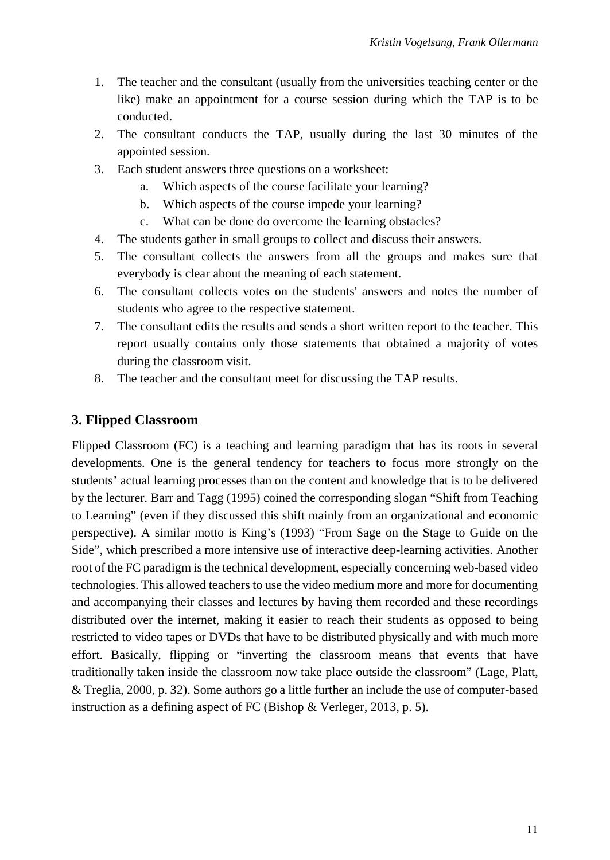- 1. The teacher and the consultant (usually from the universities teaching center or the like) make an appointment for a course session during which the TAP is to be conducted.
- 2. The consultant conducts the TAP, usually during the last 30 minutes of the appointed session.
- 3. Each student answers three questions on a worksheet:
	- a. Which aspects of the course facilitate your learning?
	- b. Which aspects of the course impede your learning?
	- c. What can be done do overcome the learning obstacles?
- 4. The students gather in small groups to collect and discuss their answers.
- 5. The consultant collects the answers from all the groups and makes sure that everybody is clear about the meaning of each statement.
- 6. The consultant collects votes on the students' answers and notes the number of students who agree to the respective statement.
- 7. The consultant edits the results and sends a short written report to the teacher. This report usually contains only those statements that obtained a majority of votes during the classroom visit.
- 8. The teacher and the consultant meet for discussing the TAP results.

# **3. Flipped Classroom**

Flipped Classroom (FC) is a teaching and learning paradigm that has its roots in several developments. One is the general tendency for teachers to focus more strongly on the students' actual learning processes than on the content and knowledge that is to be delivered by the lecturer. Barr and Tagg (1995) coined the corresponding slogan "Shift from Teaching to Learning" (even if they discussed this shift mainly from an organizational and economic perspective). A similar motto is King's (1993) "From Sage on the Stage to Guide on the Side", which prescribed a more intensive use of interactive deep-learning activities. Another root of the FC paradigm is the technical development, especially concerning web-based video technologies. This allowed teachers to use the video medium more and more for documenting and accompanying their classes and lectures by having them recorded and these recordings distributed over the internet, making it easier to reach their students as opposed to being restricted to video tapes or DVDs that have to be distributed physically and with much more effort. Basically, flipping or "inverting the classroom means that events that have traditionally taken inside the classroom now take place outside the classroom" (Lage, Platt, & Treglia, 2000, p. 32). Some authors go a little further an include the use of computer-based instruction as a defining aspect of FC (Bishop & Verleger, 2013, p. 5).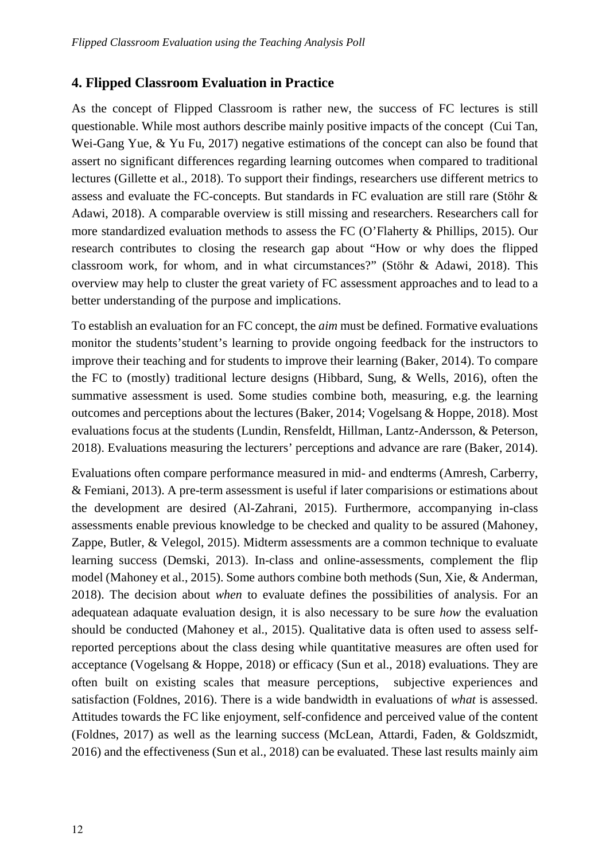# **4. Flipped Classroom Evaluation in Practice**

As the concept of Flipped Classroom is rather new, the success of FC lectures is still questionable. While most authors describe mainly positive impacts of the concept (Cui Tan, Wei-Gang Yue, & Yu Fu, 2017) negative estimations of the concept can also be found that assert no significant differences regarding learning outcomes when compared to traditional lectures (Gillette et al., 2018). To support their findings, researchers use different metrics to assess and evaluate the FC-concepts. But standards in FC evaluation are still rare (Stöhr & Adawi, 2018). A comparable overview is still missing and researchers. Researchers call for more standardized evaluation methods to assess the FC (O'Flaherty & Phillips, 2015). Our research contributes to closing the research gap about "How or why does the flipped classroom work, for whom, and in what circumstances?" (Stöhr & Adawi, 2018). This overview may help to cluster the great variety of FC assessment approaches and to lead to a better understanding of the purpose and implications.

To establish an evaluation for an FC concept, the *aim* must be defined. Formative evaluations monitor the students'student's learning to provide ongoing feedback for the instructors to improve their teaching and for students to improve their learning (Baker, 2014). To compare the FC to (mostly) traditional lecture designs (Hibbard, Sung, & Wells, 2016), often the summative assessment is used. Some studies combine both, measuring, e.g. the learning outcomes and perceptions about the lectures (Baker, 2014; Vogelsang & Hoppe, 2018). Most evaluations focus at the students (Lundin, Rensfeldt, Hillman, Lantz-Andersson, & Peterson, 2018). Evaluations measuring the lecturers' perceptions and advance are rare (Baker, 2014).

Evaluations often compare performance measured in mid- and endterms (Amresh, Carberry, & Femiani, 2013). A pre-term assessment is useful if later comparisions or estimations about the development are desired (Al-Zahrani, 2015). Furthermore, accompanying in-class assessments enable previous knowledge to be checked and quality to be assured (Mahoney, Zappe, Butler, & Velegol, 2015). Midterm assessments are a common technique to evaluate learning success (Demski, 2013). In-class and online-assessments, complement the flip model (Mahoney et al., 2015). Some authors combine both methods (Sun, Xie, & Anderman, 2018). The decision about *when* to evaluate defines the possibilities of analysis. For an adequatean adaquate evaluation design, it is also necessary to be sure *how* the evaluation should be conducted (Mahoney et al., 2015). Qualitative data is often used to assess selfreported perceptions about the class desing while quantitative measures are often used for acceptance (Vogelsang & Hoppe, 2018) or efficacy (Sun et al., 2018) evaluations. They are often built on existing scales that measure perceptions, subjective experiences and satisfaction (Foldnes, 2016). There is a wide bandwidth in evaluations of *what* is assessed. Attitudes towards the FC like enjoyment, self-confidence and perceived value of the content (Foldnes, 2017) as well as the learning success (McLean, Attardi, Faden, & Goldszmidt, 2016) and the effectiveness (Sun et al., 2018) can be evaluated. These last results mainly aim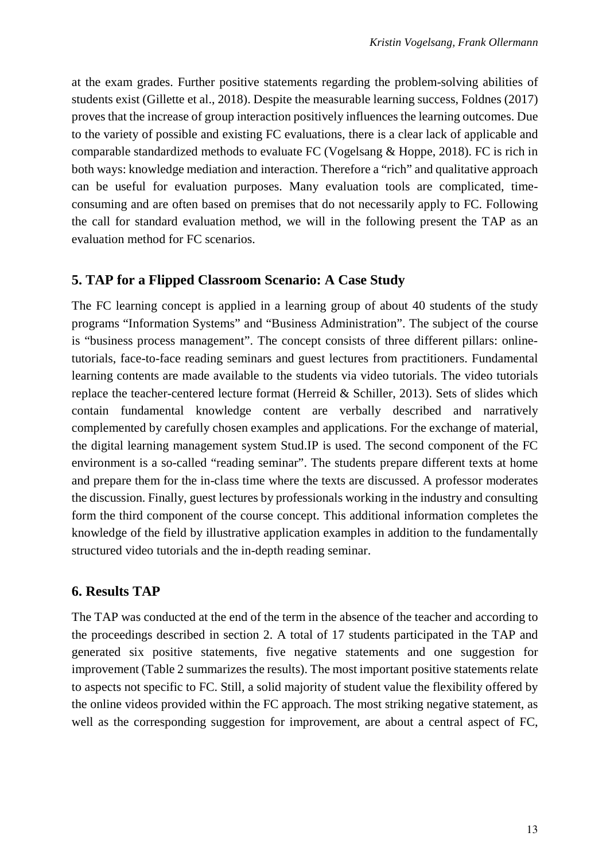at the exam grades. Further positive statements regarding the problem-solving abilities of students exist (Gillette et al., 2018). Despite the measurable learning success, Foldnes (2017) proves that the increase of group interaction positively influences the learning outcomes. Due to the variety of possible and existing FC evaluations, there is a clear lack of applicable and comparable standardized methods to evaluate FC (Vogelsang & Hoppe, 2018). FC is rich in both ways: knowledge mediation and interaction. Therefore a "rich" and qualitative approach can be useful for evaluation purposes. Many evaluation tools are complicated, timeconsuming and are often based on premises that do not necessarily apply to FC. Following the call for standard evaluation method, we will in the following present the TAP as an evaluation method for FC scenarios.

### **5. TAP for a Flipped Classroom Scenario: A Case Study**

The FC learning concept is applied in a learning group of about 40 students of the study programs "Information Systems" and "Business Administration". The subject of the course is "business process management". The concept consists of three different pillars: onlinetutorials, face-to-face reading seminars and guest lectures from practitioners. Fundamental learning contents are made available to the students via video tutorials. The video tutorials replace the teacher-centered lecture format (Herreid & Schiller, 2013). Sets of slides which contain fundamental knowledge content are verbally described and narratively complemented by carefully chosen examples and applications. For the exchange of material, the digital learning management system Stud.IP is used. The second component of the FC environment is a so-called "reading seminar". The students prepare different texts at home and prepare them for the in-class time where the texts are discussed. A professor moderates the discussion. Finally, guest lectures by professionals working in the industry and consulting form the third component of the course concept. This additional information completes the knowledge of the field by illustrative application examples in addition to the fundamentally structured video tutorials and the in-depth reading seminar.

### **6. Results TAP**

The TAP was conducted at the end of the term in the absence of the teacher and according to the proceedings described in section 2. A total of 17 students participated in the TAP and generated six positive statements, five negative statements and one suggestion for improvement (Table 2 summarizes the results). The most important positive statements relate to aspects not specific to FC. Still, a solid majority of student value the flexibility offered by the online videos provided within the FC approach. The most striking negative statement, as well as the corresponding suggestion for improvement, are about a central aspect of FC,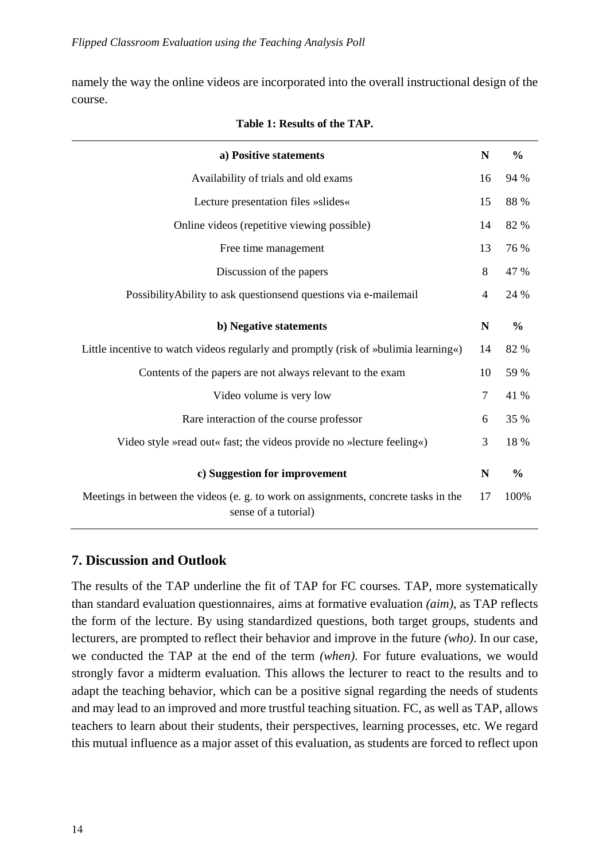namely the way the online videos are incorporated into the overall instructional design of the course.

| a) Positive statements                                                                                      | N  | $\frac{0}{0}$ |
|-------------------------------------------------------------------------------------------------------------|----|---------------|
| Availability of trials and old exams                                                                        | 16 | 94 %          |
| Lecture presentation files »slides«                                                                         | 15 | 88 %          |
| Online videos (repetitive viewing possible)                                                                 | 14 | 82 %          |
| Free time management                                                                                        | 13 | 76 %          |
| Discussion of the papers                                                                                    | 8  | 47 %          |
| Possibility Ability to ask questionsend questions via e-mailemail                                           | 4  | 24 %          |
| b) Negative statements                                                                                      | N  | $\frac{0}{0}$ |
| Little incentive to watch videos regularly and promptly (risk of »bulimia learning«)                        | 14 | 82 %          |
| Contents of the papers are not always relevant to the exam                                                  | 10 | 59 %          |
| Video volume is very low                                                                                    | 7  | 41 %          |
| Rare interaction of the course professor                                                                    | 6  | 35 %          |
| Video style »read out« fast; the videos provide no »lecture feeling«)                                       | 3  | 18 %          |
| c) Suggestion for improvement                                                                               | N  | $\frac{0}{0}$ |
| Meetings in between the videos (e. g. to work on assignments, concrete tasks in the<br>sense of a tutorial) | 17 | 100%          |

**Table 1: Results of the TAP.**

### **7. Discussion and Outlook**

The results of the TAP underline the fit of TAP for FC courses. TAP, more systematically than standard evaluation questionnaires, aims at formative evaluation *(aim)*, as TAP reflects the form of the lecture. By using standardized questions, both target groups, students and lecturers, are prompted to reflect their behavior and improve in the future *(who)*. In our case, we conducted the TAP at the end of the term *(when)*. For future evaluations, we would strongly favor a midterm evaluation. This allows the lecturer to react to the results and to adapt the teaching behavior, which can be a positive signal regarding the needs of students and may lead to an improved and more trustful teaching situation. FC, as well as TAP, allows teachers to learn about their students, their perspectives, learning processes, etc. We regard this mutual influence as a major asset of this evaluation, as students are forced to reflect upon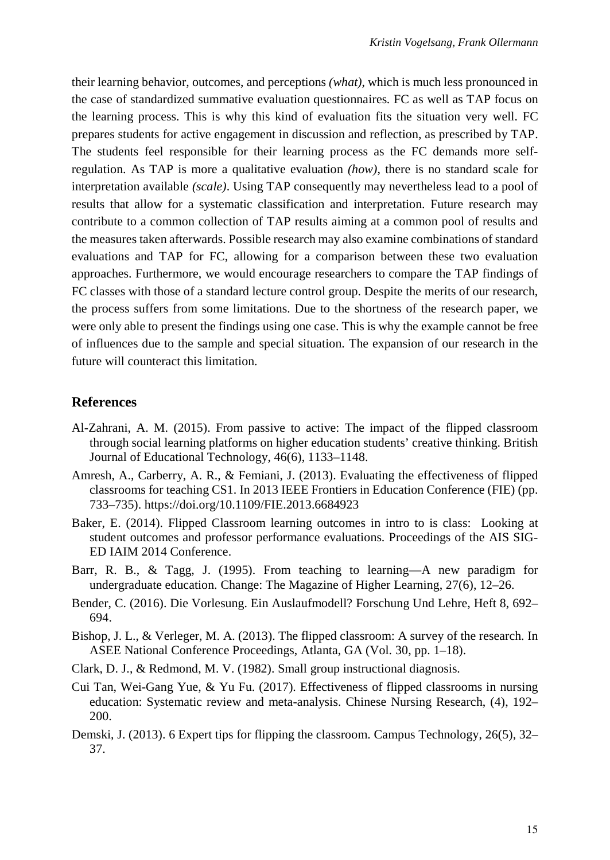their learning behavior, outcomes, and perceptions *(what)*, which is much less pronounced in the case of standardized summative evaluation questionnaires*.* FC as well as TAP focus on the learning process. This is why this kind of evaluation fits the situation very well. FC prepares students for active engagement in discussion and reflection, as prescribed by TAP. The students feel responsible for their learning process as the FC demands more selfregulation. As TAP is more a qualitative evaluation *(how)*, there is no standard scale for interpretation available *(scale)*. Using TAP consequently may nevertheless lead to a pool of results that allow for a systematic classification and interpretation. Future research may contribute to a common collection of TAP results aiming at a common pool of results and the measures taken afterwards. Possible research may also examine combinations of standard evaluations and TAP for FC, allowing for a comparison between these two evaluation approaches. Furthermore, we would encourage researchers to compare the TAP findings of FC classes with those of a standard lecture control group. Despite the merits of our research, the process suffers from some limitations. Due to the shortness of the research paper, we were only able to present the findings using one case. This is why the example cannot be free of influences due to the sample and special situation. The expansion of our research in the future will counteract this limitation.

#### **References**

- Al-Zahrani, A. M. (2015). From passive to active: The impact of the flipped classroom through social learning platforms on higher education students' creative thinking. British Journal of Educational Technology, 46(6), 1133–1148.
- Amresh, A., Carberry, A. R., & Femiani, J. (2013). Evaluating the effectiveness of flipped classrooms for teaching CS1. In 2013 IEEE Frontiers in Education Conference (FIE) (pp. 733–735). https://doi.org/10.1109/FIE.2013.6684923
- Baker, E. (2014). Flipped Classroom learning outcomes in intro to is class: Looking at student outcomes and professor performance evaluations. Proceedings of the AIS SIG-ED IAIM 2014 Conference.
- Barr, R. B., & Tagg, J. (1995). From teaching to learning—A new paradigm for undergraduate education. Change: The Magazine of Higher Learning, 27(6), 12–26.
- Bender, C. (2016). Die Vorlesung. Ein Auslaufmodell? Forschung Und Lehre, Heft 8, 692– 694.
- Bishop, J. L., & Verleger, M. A. (2013). The flipped classroom: A survey of the research. In ASEE National Conference Proceedings, Atlanta, GA (Vol. 30, pp. 1–18).
- Clark, D. J., & Redmond, M. V. (1982). Small group instructional diagnosis.
- Cui Tan, Wei-Gang Yue, & Yu Fu. (2017). Effectiveness of flipped classrooms in nursing education: Systematic review and meta-analysis. Chinese Nursing Research, (4), 192– 200.
- Demski, J. (2013). 6 Expert tips for flipping the classroom. Campus Technology, 26(5), 32– 37.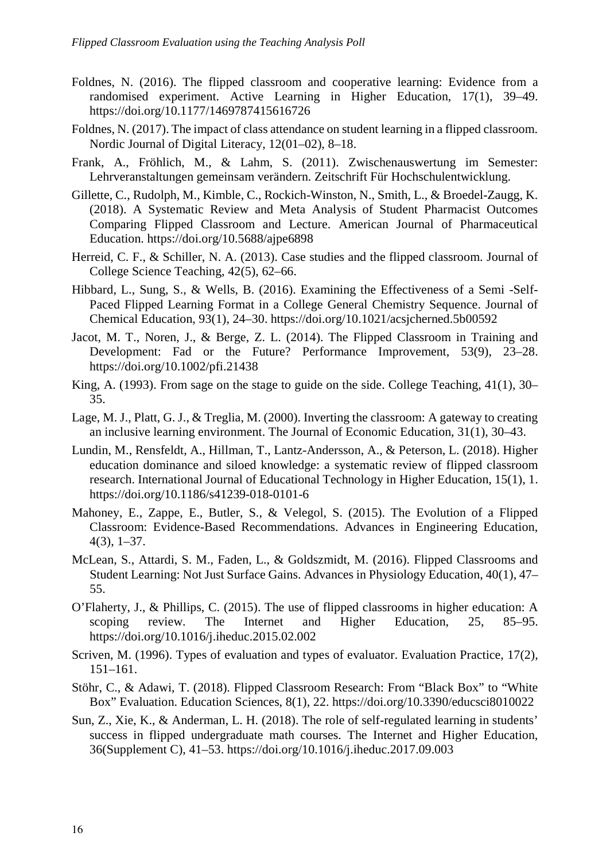- Foldnes, N. (2016). The flipped classroom and cooperative learning: Evidence from a randomised experiment. Active Learning in Higher Education, 17(1), 39–49. https://doi.org/10.1177/1469787415616726
- Foldnes, N. (2017). The impact of class attendance on student learning in a flipped classroom. Nordic Journal of Digital Literacy, 12(01–02), 8–18.
- Frank, A., Fröhlich, M., & Lahm, S. (2011). Zwischenauswertung im Semester: Lehrveranstaltungen gemeinsam verändern. Zeitschrift Für Hochschulentwicklung.
- Gillette, C., Rudolph, M., Kimble, C., Rockich-Winston, N., Smith, L., & Broedel-Zaugg, K. (2018). A Systematic Review and Meta Analysis of Student Pharmacist Outcomes Comparing Flipped Classroom and Lecture. American Journal of Pharmaceutical Education. https://doi.org/10.5688/ajpe6898
- Herreid, C. F., & Schiller, N. A. (2013). Case studies and the flipped classroom. Journal of College Science Teaching, 42(5), 62–66.
- Hibbard, L., Sung, S., & Wells, B. (2016). Examining the Effectiveness of a Semi -Self-Paced Flipped Learning Format in a College General Chemistry Sequence. Journal of Chemical Education, 93(1), 24–30. https://doi.org/10.1021/acsjcherned.5b00592
- Jacot, M. T., Noren, J., & Berge, Z. L. (2014). The Flipped Classroom in Training and Development: Fad or the Future? Performance Improvement, 53(9), 23–28. https://doi.org/10.1002/pfi.21438
- King, A. (1993). From sage on the stage to guide on the side. College Teaching, 41(1), 30– 35.
- Lage, M. J., Platt, G. J., & Treglia, M. (2000). Inverting the classroom: A gateway to creating an inclusive learning environment. The Journal of Economic Education, 31(1), 30–43.
- Lundin, M., Rensfeldt, A., Hillman, T., Lantz-Andersson, A., & Peterson, L. (2018). Higher education dominance and siloed knowledge: a systematic review of flipped classroom research. International Journal of Educational Technology in Higher Education, 15(1), 1. https://doi.org/10.1186/s41239-018-0101-6
- Mahoney, E., Zappe, E., Butler, S., & Velegol, S. (2015). The Evolution of a Flipped Classroom: Evidence-Based Recommendations. Advances in Engineering Education, 4(3), 1–37.
- McLean, S., Attardi, S. M., Faden, L., & Goldszmidt, M. (2016). Flipped Classrooms and Student Learning: Not Just Surface Gains. Advances in Physiology Education, 40(1), 47– 55.
- O'Flaherty, J., & Phillips, C. (2015). The use of flipped classrooms in higher education: A scoping review. The Internet and Higher Education, 25, 85–95. https://doi.org/10.1016/j.iheduc.2015.02.002
- Scriven, M. (1996). Types of evaluation and types of evaluator. Evaluation Practice, 17(2), 151–161.
- Stöhr, C., & Adawi, T. (2018). Flipped Classroom Research: From "Black Box" to "White Box" Evaluation. Education Sciences, 8(1), 22. https://doi.org/10.3390/educsci8010022
- Sun, Z., Xie, K., & Anderman, L. H. (2018). The role of self-regulated learning in students' success in flipped undergraduate math courses. The Internet and Higher Education, 36(Supplement C), 41–53. https://doi.org/10.1016/j.iheduc.2017.09.003